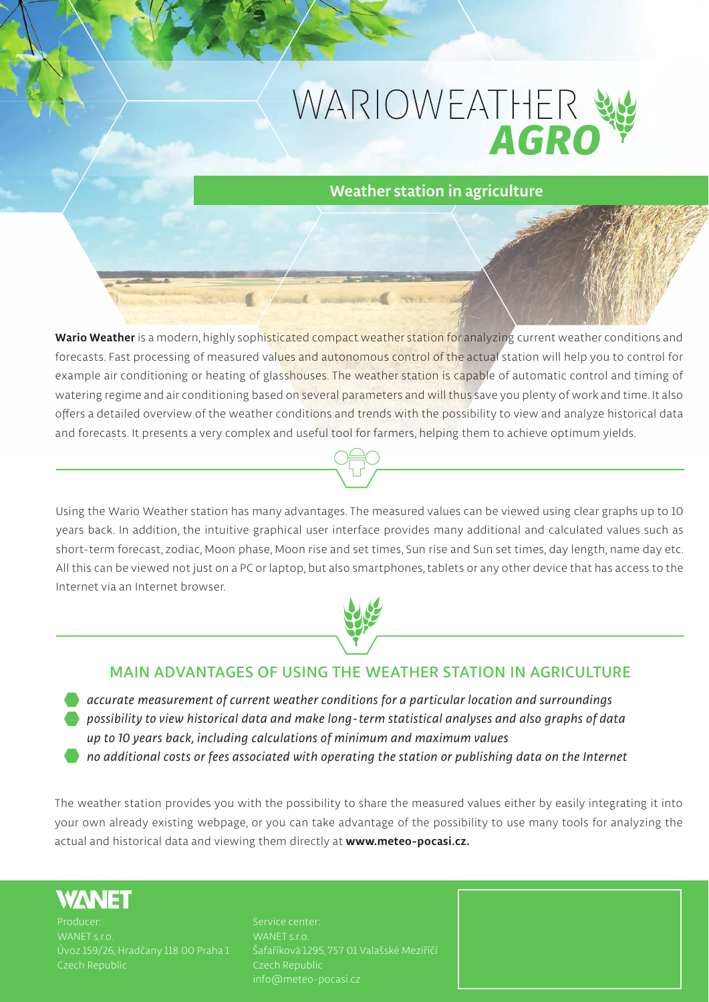## WARIOWEATHER *AGRO*

### **Weather station in agriculture**

**Wario Weather is a modern, highly sophisticated compact weather station for analyzing current weather conditions and forecasts. Fast processing of measured values and autonomous control of the actual station will help you to control for example air conditioning or heating of glasshouses. The weather station is capable of automatic control and timing of watering regime and air conditioning based on several parameters and will thus save you plenty of work and time. It also offers a detailed overview of the weather conditions and trends with the possibility to view and analyze historical data and forecasts. It presents a very complex and useful tool for farmers, helping them to achieve optimum yields.**

**Comment Commencer** 

**Using the Wario Weather station has many advantages. The measured values can be viewed using clear graphs up to 10 years back. In addition, the intuitive graphical user interface provides many additional and calculated values such as short-term forecast, zodiac, Moon phase, Moon rise and set times, Sun rise and Sun set times, day length, name day etc. All this can be viewed not just on a PC or laptop, but also smartphones, tablets or any other device that has access to the Internet via an Internet browser.**



#### **MAIN ADVANTAGES OF USING THE WEATHER STATION IN AGRICULTURE**

*accurate measurement of current weather conditions for a particular location and surroundings possibility to view historical data and make long-term statistical analyses and also graphs of data up to 10 years back, including calculations of minimum and maximum values*

*no additional costs or fees associated with operating the station or publishing data on the Internet*

**The weather station provides you with the possibility to share the measured values either by easily integrating it into your own already existing webpage, or you can take advantage of the possibility to use many tools for analyzing the actual and historical data and viewing them directly at www.meteo-pocasi.cz.**

#### **WANET**

**WANET s.r.o. Czech Republic** **WANET s.r.o. Šafaříková 1295, 757 01 Valašské Meziříčí info@meteo-pocasi.cz**